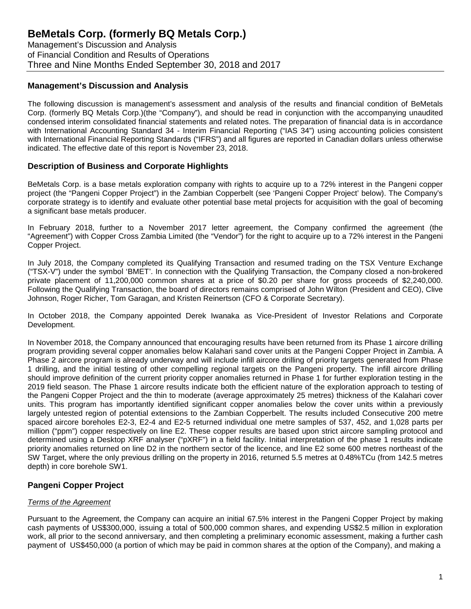Management's Discussion and Analysis of Financial Condition and Results of Operations Three and Nine Months Ended September 30, 2018 and 2017

### **Management's Discussion and Analysis**

The following discussion is management's assessment and analysis of the results and financial condition of BeMetals Corp. (formerly BQ Metals Corp.)(the "Company"), and should be read in conjunction with the accompanying unaudited condensed interim consolidated financial statements and related notes. The preparation of financial data is in accordance with International Accounting Standard 34 - Interim Financial Reporting ("IAS 34") using accounting policies consistent with International Financial Reporting Standards ("IFRS") and all figures are reported in Canadian dollars unless otherwise indicated. The effective date of this report is November 23, 2018.

### **Description of Business and Corporate Highlights**

BeMetals Corp. is a base metals exploration company with rights to acquire up to a 72% interest in the Pangeni copper project (the "Pangeni Copper Project") in the Zambian Copperbelt (see 'Pangeni Copper Project' below). The Company's corporate strategy is to identify and evaluate other potential base metal projects for acquisition with the goal of becoming a significant base metals producer.

In February 2018, further to a November 2017 letter agreement, the Company confirmed the agreement (the "Agreement") with Copper Cross Zambia Limited (the "Vendor") for the right to acquire up to a 72% interest in the Pangeni Copper Project.

In July 2018, the Company completed its Qualifying Transaction and resumed trading on the TSX Venture Exchange ("TSX-V") under the symbol 'BMET'. In connection with the Qualifying Transaction, the Company closed a non-brokered private placement of 11,200,000 common shares at a price of \$0.20 per share for gross proceeds of \$2,240,000. Following the Qualifying Transaction, the board of directors remains comprised of John Wilton (President and CEO), Clive Johnson, Roger Richer, Tom Garagan, and Kristen Reinertson (CFO & Corporate Secretary).

In October 2018, the Company appointed Derek Iwanaka as Vice-President of Investor Relations and Corporate Development.

In November 2018, the Company announced that encouraging results have been returned from its Phase 1 aircore drilling program providing several copper anomalies below Kalahari sand cover units at the Pangeni Copper Project in Zambia. A Phase 2 aircore program is already underway and will include infill aircore drilling of priority targets generated from Phase 1 drilling, and the initial testing of other compelling regional targets on the Pangeni property. The infill aircore drilling should improve definition of the current priority copper anomalies returned in Phase 1 for further exploration testing in the 2019 field season. The Phase 1 aircore results indicate both the efficient nature of the exploration approach to testing of the Pangeni Copper Project and the thin to moderate (average approximately 25 metres) thickness of the Kalahari cover units. This program has importantly identified significant copper anomalies below the cover units within a previously largely untested region of potential extensions to the Zambian Copperbelt. The results included Consecutive 200 metre spaced aircore boreholes E2-3, E2-4 and E2-5 returned individual one metre samples of 537, 452, and 1,028 parts per million ("ppm") copper respectively on line E2. These copper results are based upon strict aircore sampling protocol and determined using a Desktop XRF analyser ("pXRF") in a field facility. Initial interpretation of the phase 1 results indicate priority anomalies returned on line D2 in the northern sector of the licence, and line E2 some 600 metres northeast of the SW Target, where the only previous drilling on the property in 2016, returned 5.5 metres at 0.48%TCu (from 142.5 metres depth) in core borehole SW1.

## **Pangeni Copper Project**

#### *Terms of the Agreement*

Pursuant to the Agreement, the Company can acquire an initial 67.5% interest in the Pangeni Copper Project by making cash payments of US\$300,000, issuing a total of 500,000 common shares, and expending US\$2.5 million in exploration work, all prior to the second anniversary, and then completing a preliminary economic assessment, making a further cash payment of US\$450,000 (a portion of which may be paid in common shares at the option of the Company), and making a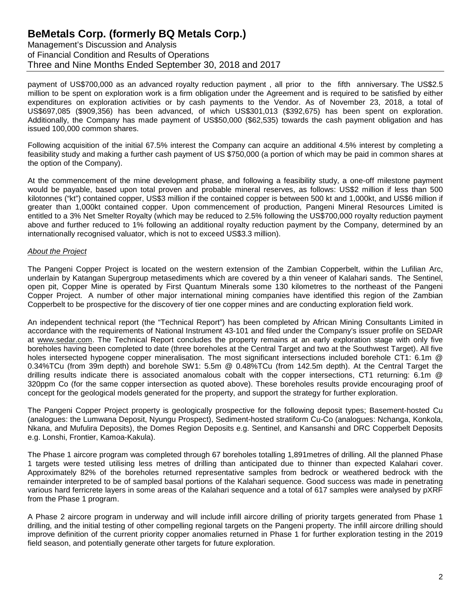Management's Discussion and Analysis of Financial Condition and Results of Operations Three and Nine Months Ended September 30, 2018 and 2017

payment of US\$700,000 as an advanced royalty reduction payment , all prior to the fifth anniversary. The US\$2.5 million to be spent on exploration work is a firm obligation under the Agreement and is required to be satisfied by either expenditures on exploration activities or by cash payments to the Vendor. As of November 23, 2018, a total of US\$697,085 (\$909,356) has been advanced, of which US\$301,013 (\$392,675) has been spent on exploration. Additionally, the Company has made payment of US\$50,000 (\$62,535) towards the cash payment obligation and has issued 100,000 common shares.

Following acquisition of the initial 67.5% interest the Company can acquire an additional 4.5% interest by completing a feasibility study and making a further cash payment of US \$750,000 (a portion of which may be paid in common shares at the option of the Company).

At the commencement of the mine development phase, and following a feasibility study, a one-off milestone payment would be payable, based upon total proven and probable mineral reserves, as follows: US\$2 million if less than 500 kilotonnes ("kt") contained copper, US\$3 million if the contained copper is between 500 kt and 1,000kt, and US\$6 million if greater than 1,000kt contained copper. Upon commencement of production, Pangeni Mineral Resources Limited is entitled to a 3% Net Smelter Royalty (which may be reduced to 2.5% following the US\$700,000 royalty reduction payment above and further reduced to 1% following an additional royalty reduction payment by the Company, determined by an internationally recognised valuator, which is not to exceed US\$3.3 million).

#### *About the Project*

The Pangeni Copper Project is located on the western extension of the Zambian Copperbelt, within the Lufilian Arc, underlain by Katangan Supergroup metasediments which are covered by a thin veneer of Kalahari sands. The Sentinel, open pit, Copper Mine is operated by First Quantum Minerals some 130 kilometres to the northeast of the Pangeni Copper Project. A number of other major international mining companies have identified this region of the Zambian Copperbelt to be prospective for the discovery of tier one copper mines and are conducting exploration field work.

An independent technical report (the "Technical Report") has been completed by African Mining Consultants Limited in accordance with the requirements of National Instrument 43-101 and filed under the Company's issuer profile on SEDAR at www.sedar.com. The Technical Report concludes the property remains at an early exploration stage with only five boreholes having been completed to date (three boreholes at the Central Target and two at the Southwest Target). All five holes intersected hypogene copper mineralisation. The most significant intersections included borehole CT1: 6.1m @ 0.34%TCu (from 39m depth) and borehole SW1: 5.5m @ 0.48%TCu (from 142.5m depth). At the Central Target the drilling results indicate there is associated anomalous cobalt with the copper intersections, CT1 returning: 6.1m @ 320ppm Co (for the same copper intersection as quoted above). These boreholes results provide encouraging proof of concept for the geological models generated for the property, and support the strategy for further exploration.

The Pangeni Copper Project property is geologically prospective for the following deposit types; Basement-hosted Cu (analogues: the Lumwana Deposit, Nyungu Prospect), Sediment-hosted stratiform Cu-Co (analogues: Nchanga, Konkola, Nkana, and Mufulira Deposits), the Domes Region Deposits e.g. Sentinel, and Kansanshi and DRC Copperbelt Deposits e.g. Lonshi, Frontier, Kamoa-Kakula).

The Phase 1 aircore program was completed through 67 boreholes totalling 1,891metres of drilling. All the planned Phase 1 targets were tested utilising less metres of drilling than anticipated due to thinner than expected Kalahari cover. Approximately 82% of the boreholes returned representative samples from bedrock or weathered bedrock with the remainder interpreted to be of sampled basal portions of the Kalahari sequence. Good success was made in penetrating various hard ferricrete layers in some areas of the Kalahari sequence and a total of 617 samples were analysed by pXRF from the Phase 1 program.

A Phase 2 aircore program in underway and will include infill aircore drilling of priority targets generated from Phase 1 drilling, and the initial testing of other compelling regional targets on the Pangeni property. The infill aircore drilling should improve definition of the current priority copper anomalies returned in Phase 1 for further exploration testing in the 2019 field season, and potentially generate other targets for future exploration.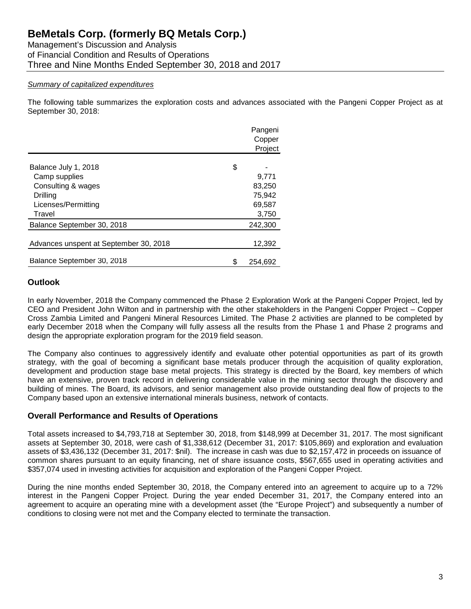Management's Discussion and Analysis of Financial Condition and Results of Operations Three and Nine Months Ended September 30, 2018 and 2017

#### *Summary of capitalized expenditures*

The following table summarizes the exploration costs and advances associated with the Pangeni Copper Project as at September 30, 2018:

|                                        | Pangeni<br>Copper<br>Project |
|----------------------------------------|------------------------------|
| Balance July 1, 2018                   | \$                           |
| Camp supplies                          | 9,771                        |
| Consulting & wages                     | 83,250                       |
| Drilling                               | 75,942                       |
| Licenses/Permitting                    | 69,587                       |
| Travel                                 | 3,750                        |
| Balance September 30, 2018             | 242,300                      |
| Advances unspent at September 30, 2018 | 12,392                       |
| Balance September 30, 2018             | 254,692                      |

#### **Outlook**

In early November, 2018 the Company commenced the Phase 2 Exploration Work at the Pangeni Copper Project, led by CEO and President John Wilton and in partnership with the other stakeholders in the Pangeni Copper Project – Copper Cross Zambia Limited and Pangeni Mineral Resources Limited. The Phase 2 activities are planned to be completed by early December 2018 when the Company will fully assess all the results from the Phase 1 and Phase 2 programs and design the appropriate exploration program for the 2019 field season.

The Company also continues to aggressively identify and evaluate other potential opportunities as part of its growth strategy, with the goal of becoming a significant base metals producer through the acquisition of quality exploration, development and production stage base metal projects. This strategy is directed by the Board, key members of which have an extensive, proven track record in delivering considerable value in the mining sector through the discovery and building of mines. The Board, its advisors, and senior management also provide outstanding deal flow of projects to the Company based upon an extensive international minerals business, network of contacts.

#### **Overall Performance and Results of Operations**

Total assets increased to \$4,793,718 at September 30, 2018, from \$148,999 at December 31, 2017. The most significant assets at September 30, 2018, were cash of \$1,338,612 (December 31, 2017: \$105,869) and exploration and evaluation assets of \$3,436,132 (December 31, 2017: \$nil). The increase in cash was due to \$2,157,472 in proceeds on issuance of common shares pursuant to an equity financing, net of share issuance costs, \$567,655 used in operating activities and \$357,074 used in investing activities for acquisition and exploration of the Pangeni Copper Project.

During the nine months ended September 30, 2018, the Company entered into an agreement to acquire up to a 72% interest in the Pangeni Copper Project. During the year ended December 31, 2017, the Company entered into an agreement to acquire an operating mine with a development asset (the "Europe Project") and subsequently a number of conditions to closing were not met and the Company elected to terminate the transaction.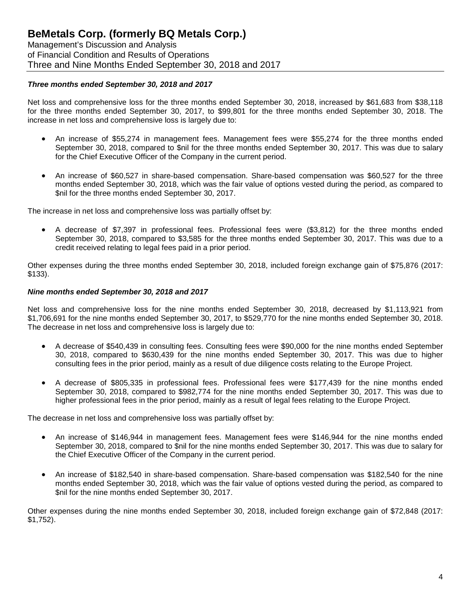Management's Discussion and Analysis of Financial Condition and Results of Operations Three and Nine Months Ended September 30, 2018 and 2017

#### *Three months ended September 30, 2018 and 2017*

Net loss and comprehensive loss for the three months ended September 30, 2018, increased by \$61,683 from \$38,118 for the three months ended September 30, 2017, to \$99,801 for the three months ended September 30, 2018. The increase in net loss and comprehensive loss is largely due to:

- An increase of \$55,274 in management fees. Management fees were \$55,274 for the three months ended September 30, 2018, compared to \$nil for the three months ended September 30, 2017. This was due to salary for the Chief Executive Officer of the Company in the current period.
- An increase of \$60,527 in share-based compensation. Share-based compensation was \$60,527 for the three months ended September 30, 2018, which was the fair value of options vested during the period, as compared to \$nil for the three months ended September 30, 2017.

The increase in net loss and comprehensive loss was partially offset by:

• A decrease of \$7,397 in professional fees. Professional fees were (\$3,812) for the three months ended September 30, 2018, compared to \$3,585 for the three months ended September 30, 2017. This was due to a credit received relating to legal fees paid in a prior period.

Other expenses during the three months ended September 30, 2018, included foreign exchange gain of \$75,876 (2017: \$133).

#### *Nine months ended September 30, 2018 and 2017*

Net loss and comprehensive loss for the nine months ended September 30, 2018, decreased by \$1,113,921 from \$1,706,691 for the nine months ended September 30, 2017, to \$529,770 for the nine months ended September 30, 2018. The decrease in net loss and comprehensive loss is largely due to:

- A decrease of \$540,439 in consulting fees. Consulting fees were \$90,000 for the nine months ended September 30, 2018, compared to \$630,439 for the nine months ended September 30, 2017. This was due to higher consulting fees in the prior period, mainly as a result of due diligence costs relating to the Europe Project.
- A decrease of \$805,335 in professional fees. Professional fees were \$177,439 for the nine months ended September 30, 2018, compared to \$982,774 for the nine months ended September 30, 2017. This was due to higher professional fees in the prior period, mainly as a result of legal fees relating to the Europe Project.

The decrease in net loss and comprehensive loss was partially offset by:

- An increase of \$146,944 in management fees. Management fees were \$146,944 for the nine months ended September 30, 2018, compared to \$nil for the nine months ended September 30, 2017. This was due to salary for the Chief Executive Officer of the Company in the current period.
- An increase of \$182,540 in share-based compensation. Share-based compensation was \$182,540 for the nine months ended September 30, 2018, which was the fair value of options vested during the period, as compared to \$nil for the nine months ended September 30, 2017.

Other expenses during the nine months ended September 30, 2018, included foreign exchange gain of \$72,848 (2017: \$1,752).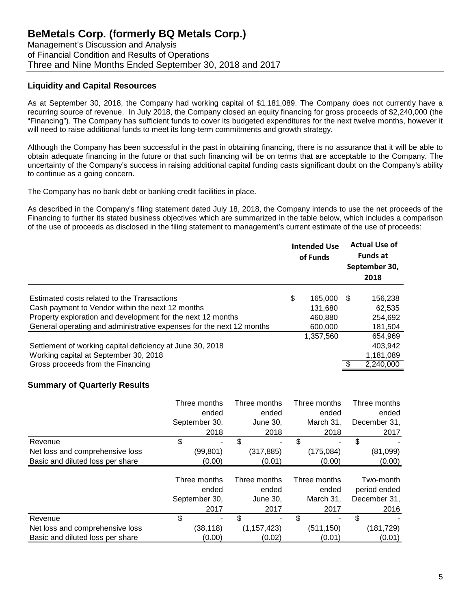Management's Discussion and Analysis of Financial Condition and Results of Operations Three and Nine Months Ended September 30, 2018 and 2017

### **Liquidity and Capital Resources**

As at September 30, 2018, the Company had working capital of \$1,181,089. The Company does not currently have a recurring source of revenue. In July 2018, the Company closed an equity financing for gross proceeds of \$2,240,000 (the "Financing"). The Company has sufficient funds to cover its budgeted expenditures for the next twelve months, however it will need to raise additional funds to meet its long-term commitments and growth strategy.

Although the Company has been successful in the past in obtaining financing, there is no assurance that it will be able to obtain adequate financing in the future or that such financing will be on terms that are acceptable to the Company. The uncertainty of the Company's success in raising additional capital funding casts significant doubt on the Company's ability to continue as a going concern.

The Company has no bank debt or banking credit facilities in place.

As described in the Company's filing statement dated July 18, 2018, the Company intends to use the net proceeds of the Financing to further its stated business objectives which are summarized in the table below, which includes a comparison of the use of proceeds as disclosed in the filing statement to management's current estimate of the use of proceeds:

|                                                                      | <b>Intended Use</b><br>of Funds |     | <b>Actual Use of</b><br><b>Funds at</b><br>September 30,<br>2018 |
|----------------------------------------------------------------------|---------------------------------|-----|------------------------------------------------------------------|
| Estimated costs related to the Transactions                          | \$<br>165.000                   | \$. | 156,238                                                          |
| Cash payment to Vendor within the next 12 months                     | 131,680                         |     | 62,535                                                           |
| Property exploration and development for the next 12 months          | 460.880                         |     | 254.692                                                          |
| General operating and administrative expenses for the next 12 months | 600,000                         |     | 181,504                                                          |
|                                                                      | 1,357,560                       |     | 654,969                                                          |
| Settlement of working capital deficiency at June 30, 2018            |                                 |     | 403.942                                                          |
| Working capital at September 30, 2018                                |                                 |     | 1,181,089                                                        |
| Gross proceeds from the Financing                                    |                                 |     | 2,240,000                                                        |
|                                                                      |                                 |     |                                                                  |

## **Summary of Quarterly Results**

|                                  | Three months  | Three months  | Three months | Three months |
|----------------------------------|---------------|---------------|--------------|--------------|
|                                  | ended         | ended         | ended        | ended        |
|                                  | September 30, | June 30,      | March 31,    | December 31, |
|                                  | 2018          | 2018          | 2018         | 2017         |
| Revenue                          | \$            | \$            |              | \$           |
| Net loss and comprehensive loss  | (99, 801)     | (317, 885)    | (175,084)    | (81,099)     |
| Basic and diluted loss per share | (0.00)        | (0.01)        | (0.00)       | (0.00)       |
|                                  | Three months  | Three months  | Three months | Two-month    |
|                                  | ended         | ended         | ended        | period ended |
|                                  | September 30, | June 30,      | March 31,    | December 31, |
|                                  | 2017          | 2017          | 2017         | 2016         |
| Revenue                          | \$            | \$<br>۰       | \$           | \$           |
| Net loss and comprehensive loss  | (38, 118)     | (1, 157, 423) | (511, 150)   | (181, 729)   |
| Basic and diluted loss per share | (0.00)        | (0.02)        | (0.01)       | (0.01)       |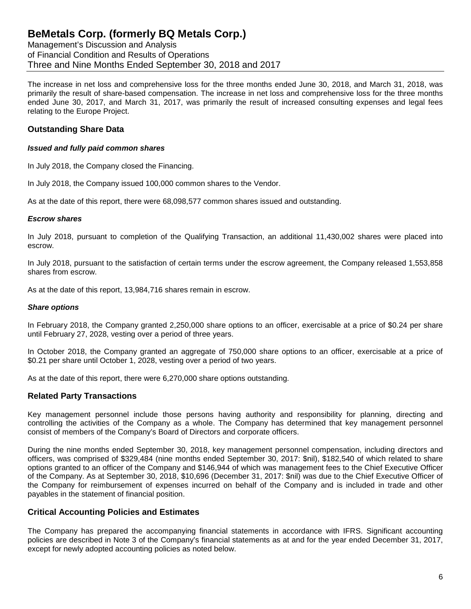Management's Discussion and Analysis of Financial Condition and Results of Operations Three and Nine Months Ended September 30, 2018 and 2017

The increase in net loss and comprehensive loss for the three months ended June 30, 2018, and March 31, 2018, was primarily the result of share-based compensation. The increase in net loss and comprehensive loss for the three months ended June 30, 2017, and March 31, 2017, was primarily the result of increased consulting expenses and legal fees relating to the Europe Project.

### **Outstanding Share Data**

#### *Issued and fully paid common shares*

In July 2018, the Company closed the Financing.

In July 2018, the Company issued 100,000 common shares to the Vendor.

As at the date of this report, there were 68,098,577 common shares issued and outstanding.

#### *Escrow shares*

In July 2018, pursuant to completion of the Qualifying Transaction, an additional 11,430,002 shares were placed into escrow.

In July 2018, pursuant to the satisfaction of certain terms under the escrow agreement, the Company released 1,553,858 shares from escrow.

As at the date of this report, 13,984,716 shares remain in escrow.

#### *Share options*

In February 2018, the Company granted 2,250,000 share options to an officer, exercisable at a price of \$0.24 per share until February 27, 2028, vesting over a period of three years.

In October 2018, the Company granted an aggregate of 750,000 share options to an officer, exercisable at a price of \$0.21 per share until October 1, 2028, vesting over a period of two years.

As at the date of this report, there were 6,270,000 share options outstanding.

#### **Related Party Transactions**

Key management personnel include those persons having authority and responsibility for planning, directing and controlling the activities of the Company as a whole. The Company has determined that key management personnel consist of members of the Company's Board of Directors and corporate officers.

During the nine months ended September 30, 2018, key management personnel compensation, including directors and officers, was comprised of \$329,484 (nine months ended September 30, 2017: \$nil), \$182,540 of which related to share options granted to an officer of the Company and \$146,944 of which was management fees to the Chief Executive Officer of the Company. As at September 30, 2018, \$10,696 (December 31, 2017: \$nil) was due to the Chief Executive Officer of the Company for reimbursement of expenses incurred on behalf of the Company and is included in trade and other payables in the statement of financial position.

#### **Critical Accounting Policies and Estimates**

The Company has prepared the accompanying financial statements in accordance with IFRS. Significant accounting policies are described in Note 3 of the Company's financial statements as at and for the year ended December 31, 2017, except for newly adopted accounting policies as noted below.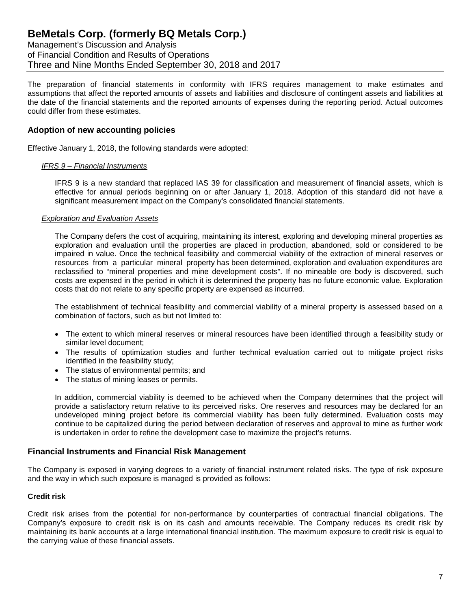Management's Discussion and Analysis of Financial Condition and Results of Operations Three and Nine Months Ended September 30, 2018 and 2017

The preparation of financial statements in conformity with IFRS requires management to make estimates and assumptions that affect the reported amounts of assets and liabilities and disclosure of contingent assets and liabilities at the date of the financial statements and the reported amounts of expenses during the reporting period. Actual outcomes could differ from these estimates.

#### **Adoption of new accounting policies**

Effective January 1, 2018, the following standards were adopted:

#### *IFRS 9 – Financial Instruments*

IFRS 9 is a new standard that replaced IAS 39 for classification and measurement of financial assets, which is effective for annual periods beginning on or after January 1, 2018. Adoption of this standard did not have a significant measurement impact on the Company's consolidated financial statements.

#### *Exploration and Evaluation Assets*

The Company defers the cost of acquiring, maintaining its interest, exploring and developing mineral properties as exploration and evaluation until the properties are placed in production, abandoned, sold or considered to be impaired in value. Once the technical feasibility and commercial viability of the extraction of mineral reserves or resources from a particular mineral property has been determined, exploration and evaluation expenditures are reclassified to "mineral properties and mine development costs". If no mineable ore body is discovered, such costs are expensed in the period in which it is determined the property has no future economic value. Exploration costs that do not relate to any specific property are expensed as incurred.

The establishment of technical feasibility and commercial viability of a mineral property is assessed based on a combination of factors, such as but not limited to:

- The extent to which mineral reserves or mineral resources have been identified through a feasibility study or similar level document;
- The results of optimization studies and further technical evaluation carried out to mitigate project risks identified in the feasibility study;
- The status of environmental permits; and
- The status of mining leases or permits.

In addition, commercial viability is deemed to be achieved when the Company determines that the project will provide a satisfactory return relative to its perceived risks. Ore reserves and resources may be declared for an undeveloped mining project before its commercial viability has been fully determined. Evaluation costs may continue to be capitalized during the period between declaration of reserves and approval to mine as further work is undertaken in order to refine the development case to maximize the project's returns.

#### **Financial Instruments and Financial Risk Management**

The Company is exposed in varying degrees to a variety of financial instrument related risks. The type of risk exposure and the way in which such exposure is managed is provided as follows:

#### **Credit risk**

Credit risk arises from the potential for non-performance by counterparties of contractual financial obligations. The Company's exposure to credit risk is on its cash and amounts receivable. The Company reduces its credit risk by maintaining its bank accounts at a large international financial institution. The maximum exposure to credit risk is equal to the carrying value of these financial assets.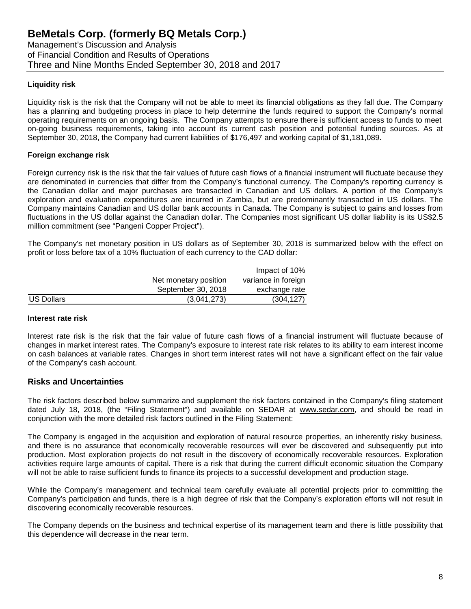Management's Discussion and Analysis of Financial Condition and Results of Operations Three and Nine Months Ended September 30, 2018 and 2017

### **Liquidity risk**

Liquidity risk is the risk that the Company will not be able to meet its financial obligations as they fall due. The Company has a planning and budgeting process in place to help determine the funds required to support the Company's normal operating requirements on an ongoing basis. The Company attempts to ensure there is sufficient access to funds to meet on-going business requirements, taking into account its current cash position and potential funding sources. As at September 30, 2018, the Company had current liabilities of \$176,497 and working capital of \$1,181,089.

#### **Foreign exchange risk**

Foreign currency risk is the risk that the fair values of future cash flows of a financial instrument will fluctuate because they are denominated in currencies that differ from the Company's functional currency. The Company's reporting currency is the Canadian dollar and major purchases are transacted in Canadian and US dollars. A portion of the Company's exploration and evaluation expenditures are incurred in Zambia, but are predominantly transacted in US dollars. The Company maintains Canadian and US dollar bank accounts in Canada. The Company is subject to gains and losses from fluctuations in the US dollar against the Canadian dollar. The Companies most significant US dollar liability is its US\$2.5 million commitment (see "Pangeni Copper Project").

The Company's net monetary position in US dollars as of September 30, 2018 is summarized below with the effect on profit or loss before tax of a 10% fluctuation of each currency to the CAD dollar:

|                   |                       | Impact of 10%       |
|-------------------|-----------------------|---------------------|
|                   | Net monetary position | variance in foreign |
|                   | September 30, 2018    | exchange rate       |
| <b>US Dollars</b> | (3,041,273)           | (304, 127)          |

#### **Interest rate risk**

Interest rate risk is the risk that the fair value of future cash flows of a financial instrument will fluctuate because of changes in market interest rates. The Company's exposure to interest rate risk relates to its ability to earn interest income on cash balances at variable rates. Changes in short term interest rates will not have a significant effect on the fair value of the Company's cash account.

#### **Risks and Uncertainties**

The risk factors described below summarize and supplement the risk factors contained in the Company's filing statement dated July 18, 2018, (the "Filing Statement") and available on SEDAR at www.sedar.com, and should be read in conjunction with the more detailed risk factors outlined in the Filing Statement:

The Company is engaged in the acquisition and exploration of natural resource properties, an inherently risky business, and there is no assurance that economically recoverable resources will ever be discovered and subsequently put into production. Most exploration projects do not result in the discovery of economically recoverable resources. Exploration activities require large amounts of capital. There is a risk that during the current difficult economic situation the Company will not be able to raise sufficient funds to finance its projects to a successful development and production stage.

While the Company's management and technical team carefully evaluate all potential projects prior to committing the Company's participation and funds, there is a high degree of risk that the Company's exploration efforts will not result in discovering economically recoverable resources.

The Company depends on the business and technical expertise of its management team and there is little possibility that this dependence will decrease in the near term.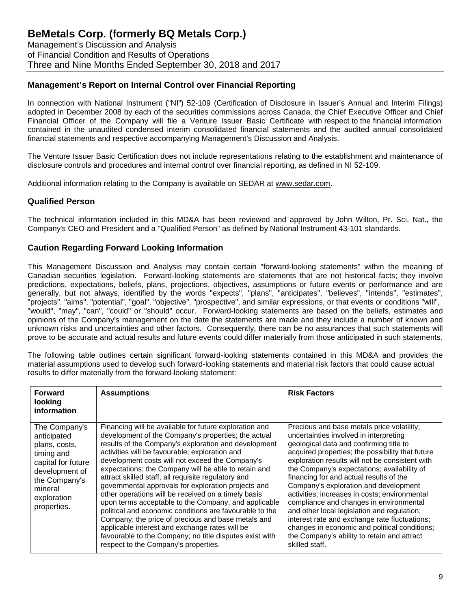Management's Discussion and Analysis of Financial Condition and Results of Operations Three and Nine Months Ended September 30, 2018 and 2017

## **Management's Report on Internal Control over Financial Reporting**

In connection with National Instrument ("NI") 52-109 (Certification of Disclosure in Issuer's Annual and Interim Filings) adopted in December 2008 by each of the securities commissions across Canada, the Chief Executive Officer and Chief Financial Officer of the Company will file a Venture Issuer Basic Certificate with respect to the financial information contained in the unaudited condensed interim consolidated financial statements and the audited annual consolidated financial statements and respective accompanying Management's Discussion and Analysis.

The Venture Issuer Basic Certification does not include representations relating to the establishment and maintenance of disclosure controls and procedures and internal control over financial reporting, as defined in NI 52-109.

Additional information relating to the Company is available on SEDAR at [www.sedar.com.](http://www.sedar.com/)

### **Qualified Person**

The technical information included in this MD&A has been reviewed and approved by John Wilton, Pr. Sci. Nat., the Company's CEO and President and a "Qualified Person" as defined by National Instrument 43-101 standards.

## **Caution Regarding Forward Looking Information**

This Management Discussion and Analysis may contain certain "forward-looking statements" within the meaning of Canadian securities legislation. Forward-looking statements are statements that are not historical facts; they involve predictions, expectations, beliefs, plans, projections, objectives, assumptions or future events or performance and are generally, but not always, identified by the words "expects", "plans", "anticipates", "believes", "intends", "estimates", "projects", "aims", "potential", "goal", "objective", "prospective", and similar expressions, or that events or conditions "will", "would", "may", "can", "could" or "should" occur. Forward-looking statements are based on the beliefs, estimates and opinions of the Company's management on the date the statements are made and they include a number of known and unknown risks and uncertainties and other factors. Consequently, there can be no assurances that such statements will prove to be accurate and actual results and future events could differ materially from those anticipated in such statements.

The following table outlines certain significant forward-looking statements contained in this MD&A and provides the material assumptions used to develop such forward-looking statements and material risk factors that could cause actual results to differ materially from the forward-looking statement:

| <b>Forward</b><br>looking<br>information                                                                                                                      | <b>Assumptions</b>                                                                                                                                                                                                                                                                                                                                                                                                                                                                                                                                                                                                                                                                                                                                                                                                                    | <b>Risk Factors</b>                                                                                                                                                                                                                                                                                                                                                                                                                                                                                                                                                                                                                                                                     |
|---------------------------------------------------------------------------------------------------------------------------------------------------------------|---------------------------------------------------------------------------------------------------------------------------------------------------------------------------------------------------------------------------------------------------------------------------------------------------------------------------------------------------------------------------------------------------------------------------------------------------------------------------------------------------------------------------------------------------------------------------------------------------------------------------------------------------------------------------------------------------------------------------------------------------------------------------------------------------------------------------------------|-----------------------------------------------------------------------------------------------------------------------------------------------------------------------------------------------------------------------------------------------------------------------------------------------------------------------------------------------------------------------------------------------------------------------------------------------------------------------------------------------------------------------------------------------------------------------------------------------------------------------------------------------------------------------------------------|
| The Company's<br>anticipated<br>plans, costs,<br>timing and<br>capital for future<br>development of<br>the Company's<br>mineral<br>exploration<br>properties. | Financing will be available for future exploration and<br>development of the Company's properties; the actual<br>results of the Company's exploration and development<br>activities will be favourable; exploration and<br>development costs will not exceed the Company's<br>expectations; the Company will be able to retain and<br>attract skilled staff, all requisite regulatory and<br>governmental approvals for exploration projects and<br>other operations will be received on a timely basis<br>upon terms acceptable to the Company, and applicable<br>political and economic conditions are favourable to the<br>Company; the price of precious and base metals and<br>applicable interest and exchange rates will be<br>favourable to the Company; no title disputes exist with<br>respect to the Company's properties. | Precious and base metals price volatility;<br>uncertainties involved in interpreting<br>geological data and confirming title to<br>acquired properties; the possibility that future<br>exploration results will not be consistent with<br>the Company's expectations; availability of<br>financing for and actual results of the<br>Company's exploration and development<br>activities; increases in costs; environmental<br>compliance and changes in environmental<br>and other local legislation and regulation;<br>interest rate and exchange rate fluctuations;<br>changes in economic and political conditions;<br>the Company's ability to retain and attract<br>skilled staff. |